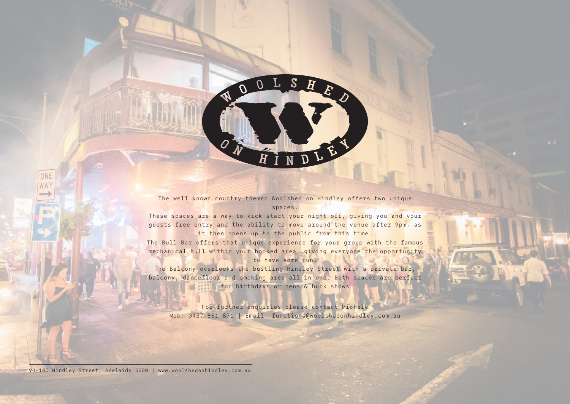

The well known country themed Woolshed on Hindley offers two unique spaces.

These spaces are a way to kick start your night off, giving you and your guests free entry and the ability to move around the venue after 9pm, as it then opens up to the public from this time.

The Bull Bar offers that unique experience for your group with the famous mechanical bull within your booked area, giving everyone the opportunity to have some fun.

The Balcony overlooks the bustling Hindley Street with a private bar, balcony, dancefloor and smoking area all in one. Both spaces are perfect for birthdays or hens & buck shows

For further enquiries please contact Michele Mob: 0437 851 871 | Email: functions@woolshedonhindley.com.au

94-100 Hindley Street, Adelaide 5000 | www.woolshedonhindley.com.au

ONE WAY

**JES**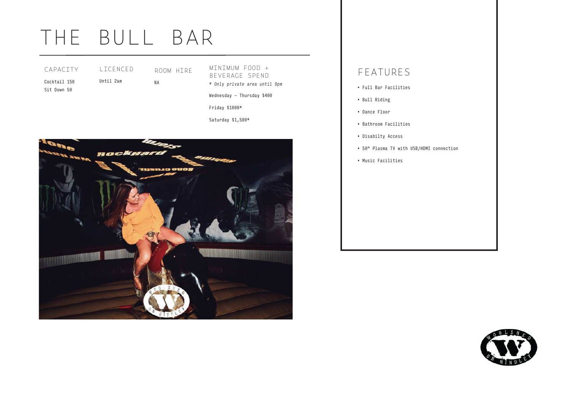# THE BULL BAR

| CAPACITY     | I TCENCED |
|--------------|-----------|
| Cocktail 150 | Until 2am |
| Sit Down 50  |           |

ROOM HIRE NA

MINIMUM FOOD + BEVERAGE SPEND *\* Only private area until 9pm*

Wednesday - Thursday \$400

Friday \$1000\*

Saturday \$1,500\*



### FEATURES

- Full Bar Facilities
- Bull Riding
- Dance Floor
- Bathroom Facilities
- Disabilty Access
- 50" Plasma TV with USB/HDMI connection
- Music Facilities

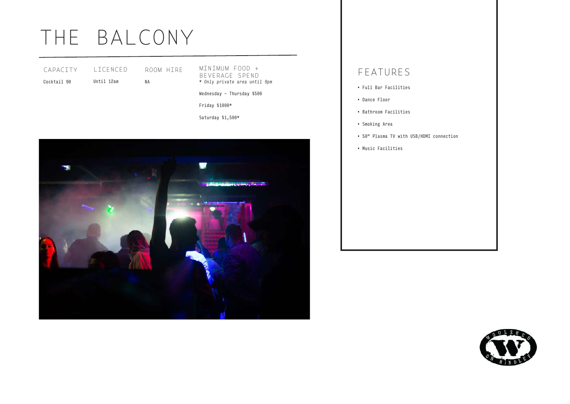## THE BALCONY

| CAPACITY    | I TCENCED  | ROOM HIRE |
|-------------|------------|-----------|
| Cocktail 90 | Until 12am | ΝA        |

MINIMUM FOOD + BEVERAGE SPEND *\* Only private area until 9pm*

Wednesday - Thursday \$500

Friday \$1000\*

Saturday \$1,500\*



### FEATURES

- Full Bar Facilities
- Dance Floor
- Bathroom Facilities
- Smoking Area
- 50" Plasma TV with USB/HDMI connection
- Music Facilities

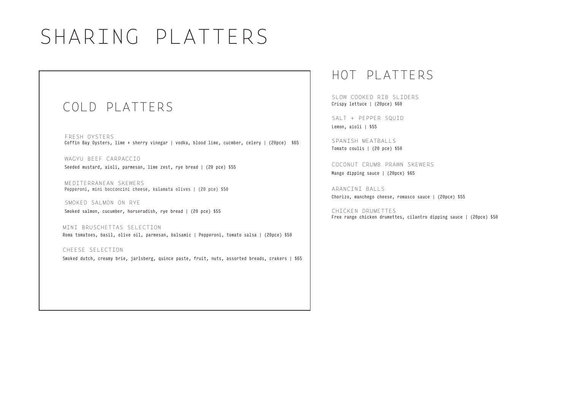# SHARING PLATTERS

### COLD PLATTERS

FRESH OYSTERS Coffin Bay Oysters, lime + sherry vinegar | vodka, blood lime, cucmber, celery | (20pce) \$65

WAGYU BEEF CARPACCIO Seeded mustard, aioli, parmesan, lime zest, rye bread | (20 pce) \$55

MEDITERRANEAN SKEWERS Pepperoni, mini bocconcini cheese, kalamata olives | (20 pce) \$50

SMOKED SALMON ON RYE Smoked salmon, cucumber, horseradish, rye bread | (20 pce) \$55

MINI BRUSCHETTAS SELECTION Roma tomatoes, basil, olive oil, parmesan, balsamic | Pepperoni, tomato salsa | (20pce) \$50

CHEESE SELECTION Smoked dutch, creamy brie, jarlsberg, quince paste, fruit, nuts, assorted breads, crakers | \$65

## HOT PLATTERS

SLOW COOKED RTB SLIDERS Crispy lettuce | (20pce) \$60

SALT + PEPPER SQUID Lemon, aioli | \$55

SPANTSH MEATBALLS Tomato coulis | (20 pce) \$50

COCONUT CRUMB PRAWN SKEWERS Mango dipping sauce | (20pce) \$65

ARANCINI BALLS Chorizo, manchego cheese, romasco sauce | (20pce) \$55

CHICKEN DRUMETTES Free range chicken drumettes, cilantro dipping sauce | (20pce) \$50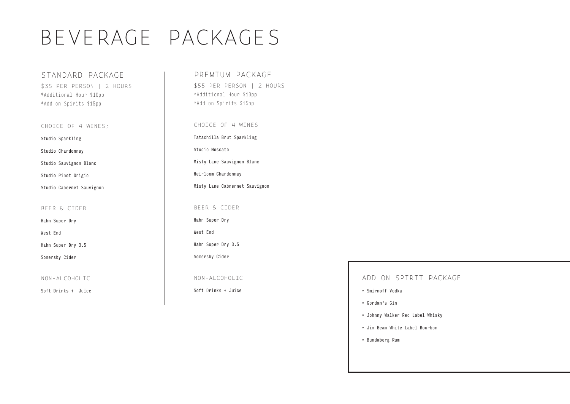# BEVERAGE PACKAGES

STANDARD PACKAGE \$35 PER PERSON | 2 HOURS \*Additional Hour \$10pp \*Add on Spirits \$15pp

CHOICE OF 4 WINES;

Studio Sparkling

Studio Chardonnay

Studio Sauvignon Blanc

Studio Pinot Grigio

Studio Cabernet Sauvignon

#### BEER & CIDER

Hahn Super Dry

West End

Hahn Super Dry 3.5

Somersby Cider

NON-ALCOHOLIC

Soft Drinks + Juice

### PREMIUM PACKAGE

\$55 PER PERSON | 2 HOURS \*Additional Hour \$10pp \*Add on Spirits \$15pp

CHOICE OF 4 WINES Tatachilla Brut Sparkling Studio Moscato Misty Lane Sauvignon Blanc Heirloom Chardonnay Misty Lane Cabnernet Sauvignon BEER & CIDER Hahn Super Dry West End Hahn Super Dry 3.5 Somersby Cider

NON-ALCOHOLIC

Soft Drinks + Juice

### ADD ON SPIRIT PACKAGE

- Smirnoff Vodka
- Gordan's Gin
- Johnny Walker Red Label Whisky
- Jim Beam White Label Bourbon
- Bundaberg Rum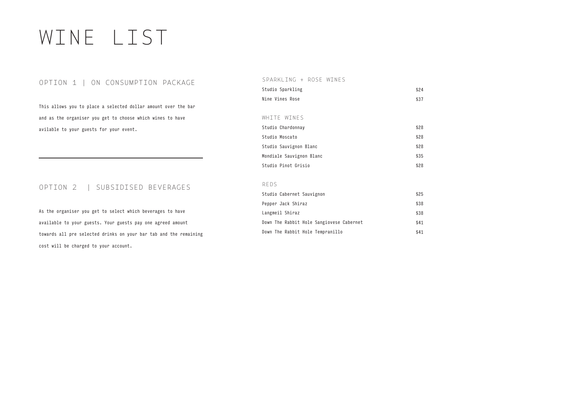# WINE LIST

### OPTION 1 | ON CONSUMPTION PACKAGE

This allows you to place a selected dollar amount over the bar and as the organiser you get to choose which wines to have avilable to your guests for your event.

### OPTION 2 | SUBSIDISED BEVERAGES

As the organiser you get to select which beverages to have available to your guests. Your guests pay one agreed amount towards all pre selected drinks on your bar tab and the remaining cost will be charged to your account.

#### SPARKLING + ROSE WINES

| Studio Sparkling | \$24 |
|------------------|------|
| Nine Vines Rose  | \$37 |

#### WHITE WINES

| Studio Chardonnay        | \$28 |
|--------------------------|------|
| Studio Moscato           | \$28 |
| Studio Sauvignon Blanc   | \$28 |
| Mondiale Sauvignon Blanc | \$35 |
| Studio Pinot Grisio      | \$28 |

#### REDS

| Studio Cabernet Sauvignon                | \$25 |
|------------------------------------------|------|
| Pepper Jack Shiraz                       | \$38 |
| Langmeil Shiraz                          | \$38 |
| Down The Rabbit Hole Sangiovese Cabernet | \$41 |
| Down The Rabbit Hole Tempranillo         | \$41 |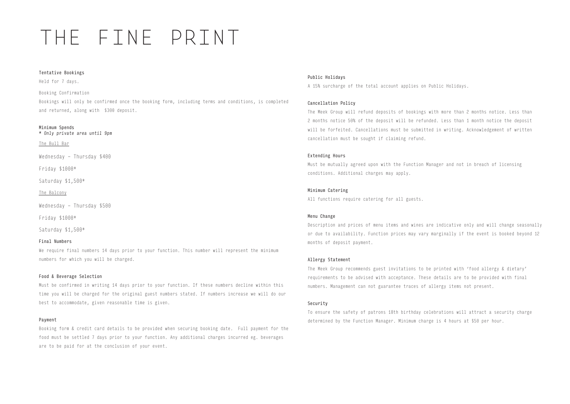# THE FINE PRINT

#### Tentative Bookings

Held for 7 days.

Booking Confirmation

Bookings will only be confirmed once the booking form, including terms and conditions, is completed and returned, along with \$300 deposit.

#### Minimum Spends

*\* Only private area until 9pm*

The Bull Bar

Wednesday - Thursday \$400

Friday \$1000\*

Saturday \$1,500\*

The Balcony

Wednesday - Thursday \$500

Friday \$1000\*

Saturday \$1,500\*

#### Final Numbers

We require final numbers 14 days prior to your function. This number will represent the minimum numbers for which you will be charged.

#### Food & Beverage Selection

Must be confirmed in writing 14 days prior to your function. If these numbers decline within this time you will be charged for the original guest numbers stated. If numbers increase we will do our best to accommodate, given reasonable time is given.

#### Payment

Booking form & credit card details to be provided when securing booking date. Full payment for the food must be settled 7 days prior to your function. Any additional charges incurred eg. beverages are to be paid for at the conclusion of your event.

#### Public Holidays

A 15% surcharge of the total account applies on Public Holidays.

#### Cancellation Policy

The Meek Group will refund deposits of bookings with more than 2 months notice. Less than 2 months notice 50% of the deposit will be refunded. Less than 1 month notice the deposit will be forfeited. Cancellations must be submitted in writing. Acknowledgement of written cancellation must be sought if claiming refund.

#### Extending Hours

Must be mutually agreed upon with the Function Manager and not in breach of licensing conditions. Additional charges may apply.

#### Minimum Catering

All functions require catering for all guests.

#### Menu Change

Description and prices of menu items and wines are indicative only and will change seasonally or due to availability. Function prices may vary marginally if the event is booked beyond 12 months of deposit payment.

#### Allergy Statement

The Meek Group recommends guest invitations to be printed with 'food allergy & dietary' requirements to be advised with acceptance. These details are to be provided with final numbers. Management can not guarantee traces of allergy items not present.

#### Security

To ensure the safety of patrons 18th birthday celebrations will attract a security charge determined by the Function Manager. Minimum charge is 4 hours at \$50 per hour.